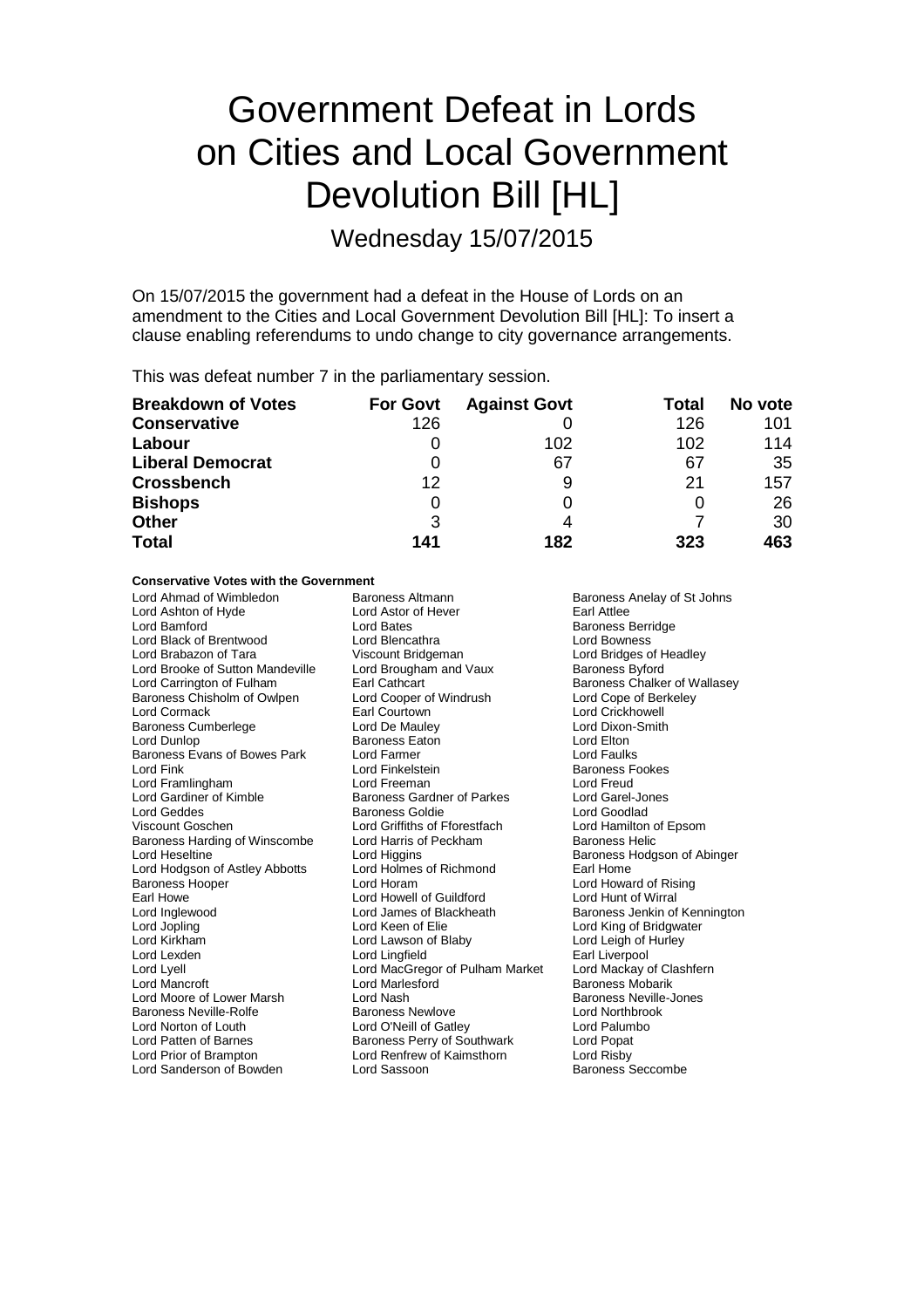# Government Defeat in Lords on Cities and Local Government Devolution Bill [HL]

Wednesday 15/07/2015

On 15/07/2015 the government had a defeat in the House of Lords on an amendment to the Cities and Local Government Devolution Bill [HL]: To insert a clause enabling referendums to undo change to city governance arrangements.

This was defeat number 7 in the parliamentary session.

| <b>Breakdown of Votes</b> | <b>For Govt</b> | <b>Against Govt</b> | Total | No vote |
|---------------------------|-----------------|---------------------|-------|---------|
| <b>Conservative</b>       | 126             |                     | 126   | 101     |
| Labour                    |                 | 102                 | 102   | 114     |
| <b>Liberal Democrat</b>   |                 | 67                  | 67    | 35      |
| <b>Crossbench</b>         | 12              | 9                   | 21    | 157     |
| <b>Bishops</b>            | 0               |                     |       | 26      |
| <b>Other</b>              | 3               | 4                   |       | 30      |
| <b>Total</b>              | 141             | 182                 | 323   | 463     |

#### **Conservative Votes with the Government**

Lord Ahmad of Wimbledon **Baroness Altmann** Baroness Anelay of St Johns<br> **Baroness Anelay of St Johns**<br>
Lord Ashton of How Baroness Alter Baroness Anelay of St Johns Lord Ashton of Hyde Lord Astor<br>Lord Bamford Lord Bates Lord Bamford **Constanting Lord Bates** Lord Bates **Baroness Berridge**<br>
Lord Black of Brentwood **Lord Blencathra Constanting Lord Bowness** Lord Black of Brentwood Lord Blencathra Lord Bowness Lord Brooke of Sutton Mandeville Lord Carrington of Fulham Earl Cathcart Baroness Chalker of Wallasey<br>
Baroness Chisholm of Owlpen Lord Cooper of Windrush Lord Cope of Berkeley Baroness Chisholm of Owlpen Lord Cooper of Lord Cooper of Lord Courtown Baroness Cumberlege Lord De Mauley Lord Dixon-<br>
Lord Dunlop Lord Dixon-Smith Baroness Eaton Lord Elton-Baroness Evans of Bowes Park Lord Farmer<br>Lord Fink Lord Framlingham **Lord Freeman** Lord Freeman Lord Cord Freud<br>
Lord Gardiner of Kimble **Ration** Baroness Gardner of Parkes Lord Garel-Jones Lord Gardiner of Kimble **Baroness Gardner of Parkes** Lord Garel-Jones Lord Garel-Jones Baroness Goldie **Lord Goodlad** Lord Geddes **Baroness Goldie** Cord Goodlad<br>
Lord Goschen **Baroness Goldie Cord Goodlad**<br>
Lord Hamilton of Epsom Baroness Harding of Winscombe Lord Harris of Lord Heseltine **Peckham Baroness Haroness Helioness** Lord Higgins Lord Hodgson of Astley Abbotts<br>Baroness Hooper Baroness Hooper The Lord Horam Lord Horam Lord Howard of Rising<br>
Lord Howe Lord Howell of Guildford Lord Hunt of Wirral Earl Howe **Lord Howell of Guildford Lord Howell of Guildford**<br>
Lord Inglewood **Lord James of Blackheath** Lord Inglewood **Lord James of Blackheath** Baroness Jenkin of Kennington<br>
Lord Jopling **Baroness** Lord Keen of Elie<br>
Lord King of Bridgwater Lord Jopling The Lord Keen of Elie Lord King of Bridgwater<br>
Lord Kirkham Lord Lawson of Blaby Lord Leigh of Hurley Lord Lexden Lord Lingfield Earl Liverpool Lord Lyell Lord MacGregor of Pulham Market<br>
Lord Mancroft Lord Marlesford Lord Moore of Lower Marsh Lord Nash Lord Nash Baroness Neville<br>
Baroness Neville-Rolfe Baroness Newlove Lord Northbrook Baroness Neville-Rolfe Baroness Newlove Baroness Newlove Lord Northbrook<br>
Lord Norton of Louth Lord O'Neill of Gatlev Lord Palumbo Lord Patten of Barnes **Barnes Baroness Perry of Southwark** Lord Popat<br>
Lord Prior of Brampton **Lord Rentrew of Kaimsthorn** Lord Risby Lord Sanderson of Bowden

Viscount Bridgeman **Lord Bridges of Headley**<br>
Lord Brougham and Vaux **Baroness Byford** Earl Courtown **Earl Courtown**<br>
Lord De Mauley<br>
Lord Dixon-Smith Baroness Eaton **Lord Elton**<br>
Lord Farmer **Lord Eaulks** Lord Griffiths of Fforestfach Lord Hamilton c<br>Lord Hamilton contracts be the Epson Baroness Helic Lord Higgins<br>
Lord Holmes of Richmond<br>
Earl Home<br>
Earl Home Lord Lawson of Blaby Lord Marlesford **Communist Communist Communist Communist Communist Communist Communist Communist Communist Communist Communist Communist Communist Communist Communist Communist Communist Communist Communist Communist Commu** Lord O'Neill of Gatley Lord Renfrew of Kaimsthorn Lord Risby<br>
Lord Sassoon Lord Sassoon Baroness Seccombe

**Baroness Fookes**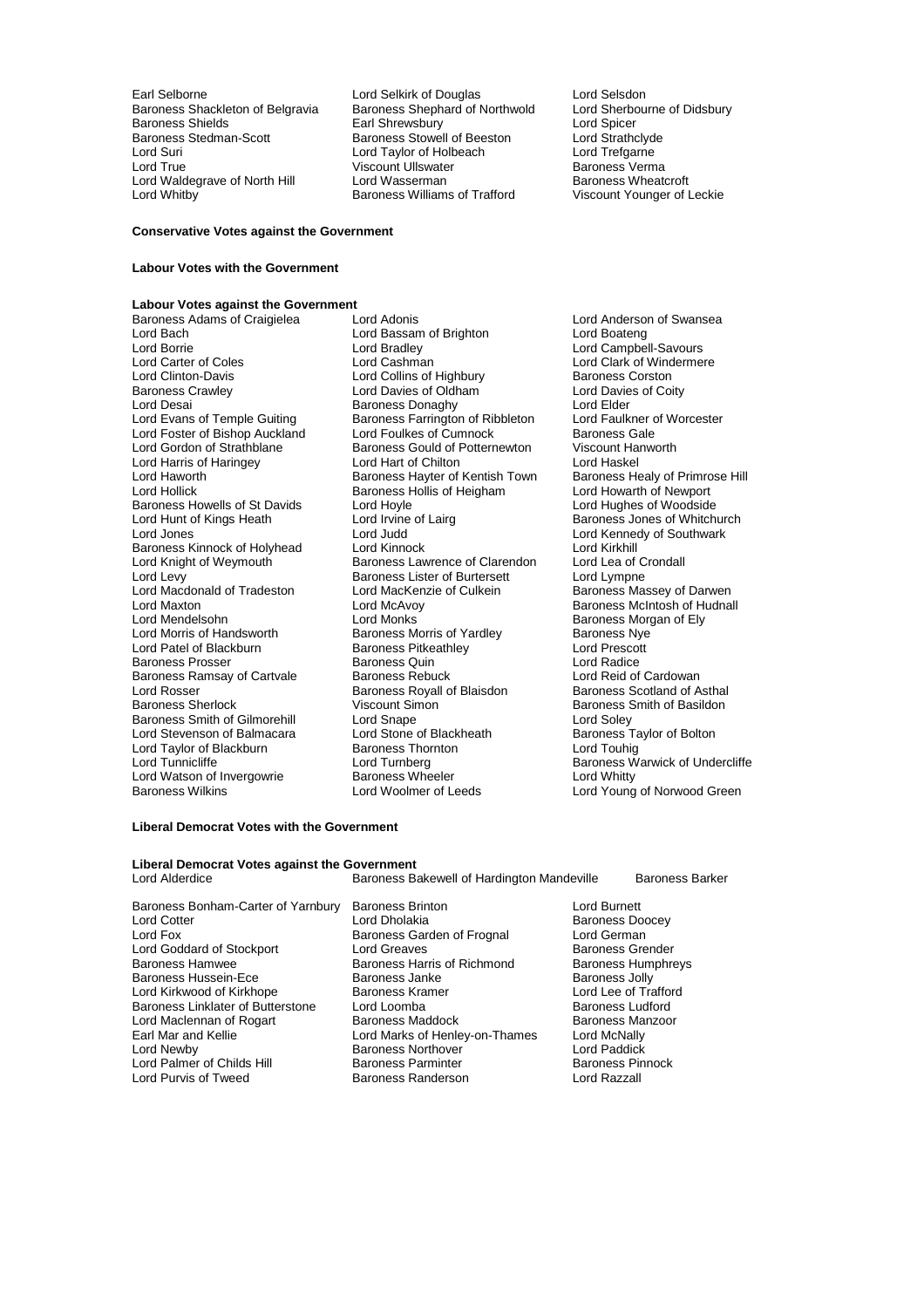Baroness Shackleton of Belgravia Baroness Shephard of Northwold Lord Sherbourness Shields<br>Baroness Shields Carl Shrewsbury Carl Shields Baroness Shields<br>
Earl Shrewsbury Carl Lord Spicer<br>
Baroness Stedman-Scott 
Baroness Stowell of Beeston Lord Strathclyde Baroness Stedman-Scott Baroness Stowell of Beeston Lord Strathclyd<br>
Lord Suri Lord Cord Taylor of Holbeach Lord Trefgarne Lord Suri Lord Taylor of Holbeach Lord Trefgarne Lord Waldegrave of North Hill Lord Wasserman<br>
Lord Whitby **Baroness Williams of Trafford** 

Earl Selborne **Lord Selkirk of Douglas** Lord Selsdon<br>Baroness Shackleton of Belgravia Baroness Shephard of Northwold Lord Sherbourne of Didsbury Viscount Ullswater **Baroness Vermann**<br>
Lord Wasserman **Baroness Wheatcroft** 

Viscount Younger of Leckie

### **Conservative Votes against the Government**

## **Labour Votes with the Government**

# **Labour Votes against the Government**

Lord Bach Lord Bassam of Brighton<br>
Lord Borrie Lord Bradley Lord Borrie Lord Bradley Lord Campbell-Savours Lord Carter of Coles<br>
Lord Clark of Windermere<br>
Lord Clinton-Davis<br>
Lord Collins of Highbury<br>
Baroness Corston Lord Clinton-Davis **Lord Collins of Highbury** Baroness Corston<br>
Baroness Crawley **Baroness Crawley** Lord Davies of Oldham **Baroness Crawley** Baroness Crawley **Lord Davies of Oldham** Lord Davies of Oldham Lord Davies Lord Davies Core<br>
Lord Desai **Collection Coincil Baroness Donaghy** Lord Elder Lord Desai **Exercise State Baroness Donaghy** Lord Elder Lord Elder<br>
Lord Evans of Temple Guiting **Baroness Farrington of Ribbleton** Lord Faulkner of Worcester Lord Foster of Bishop Auckland Lord Foulkes of Cumnock Baroness Gale Lord Harris of Haringey **Lord Hart of Chilton**<br>
Lord Haworth **Corporation Corporation** Baroness Havter of Kentish Town Lord Haworth Baroness Hayter of Kentish Town Baroness Healy of Primrose Hill<br>Lord Hollick Baroness Hollis of Heigham Lord Howarth of Newport Baroness Howells of St Davids Lord Hoyle<br>
Lord Hunt of Kings Heath Lord Irvine of Lairg Lord Hunt of Kings Heath Lord Irvine of Lairg Baroness Jones of Whitchurch<br>
Lord Jones Cord Jones Lord Judd Lord Cord Kennedy of Southwark Baroness Kinnock of Holyhead Lord Kinnock Lord Kinnock Lord Kirkhill<br>
Lord Knight of Weymouth Baroness Lawrence of Clarendon Lord Lea of Crondall Lord Knight of Weymouth **Baroness Lawrence of Clarendon** Lord Lea of C<br>Lord Levy **Baroness Lister of Burtersett** Lord Lympne Lord Levy<br>
Lord Macdonald of Tradeston<br>
Lord MacKenzie of Culkein Lord Macdonald of Tradeston Lord MacKenzie of Culkein Baroness Massey of Darwen<br>Lord Maxton Lord McAvoy Lord McAvoy Baroness McIntosh of Hudnal Lord Maxton Lord McAvoy Baroness McIntosh of Hudnall Lord Mendelsohn **Lord Monks** Cord Monks Baroness Morgan of Ely<br>
Lord Morris of Handsworth Baroness Morris of Yardley Baroness Nye Lord Patel of Blackburn **Baroness Pitkeathley** Cord Prescott Baroness Proses Cuin Lord Radice<br>Baroness Prosser **Baroness Quin** Lord Radice Baroness Prosser **Baroness Quin**<br>
Baroness Ramsay of Cartvale Baroness Rebuck **Carolic Canadical Lord Reid of Cardowan** Baroness Ramsay of Cartvale Baroness Rebuck Lord Reid of Cardowan<br>Lord Rosser Lord Rosser Baroness Rovall of Blaisdon Baroness Scotland of Asthal Lord Rosser The Baroness Royall of Blaisdon<br>Baroness Sherlock Scotland Of Astronomic Scotland Of Asthala Baroness Smith of Gilmorehill Lord Snape<br>Lord Stevenson of Balmacara Lord Stone of Blackheath Baroness Taylor of Bolton Lord Stevenson of Balmacara Lord Stone of Blackheath Baroness Ta<br>
Lord Taylor of Blackburn Baroness Thornton Lord Touhig Lord Taylor of Blackburn Baroness Thornton Baroness Thornton Lord Turnberg Lord Watson of Invergowrie **Baroness Wheeler**<br>Baroness Wilkins **Baroness Wilkins** Lord Woolmer of Leeds

Baroness Adams of Craigielea Lord Adonis Lord Anderson of Swansea Evance Baroness Farrington of Ribbleton Lord Faulkner c<br>
Lord Foulkes of Cumnock Baroness Gale Baroness Gould of Potternewton Viscount Ha<br>
Lord Hart of Chilton Control Lord Haskel Baroness Hollis of Heigham Lord Howarth of Newport<br>Lord Hoyle Lord Hughes of Woodside Lord Judd Lord Kennedy of Southwark<br>Lord Kinnock Lord Kirkhill Baroness Morris of Yardley **Baroness Nye Baroness Nye Baroness Nye Baroness Nye Baroness Nye Baroness Nye Baroness Nye Baroness Nye Baroness Nye Baroness Nye Baroness Nye Baroness Nye Baroness Nye Baroness Nye Baroness Nye** Viscount Simon<br>
Lord Snape<br>
Lord Soley<br>
Lord Soley Lord Turnberg **Lord Turnberg** Baroness Warwick of Undercliffe Baroness Warwick of Undercliffe

Lord Young of Norwood Green

#### **Liberal Democrat Votes with the Government**

## **Liberal Democrat Votes against the Government**<br>I ord Alderdice Baroness Ba

Baroness Bakewell of Hardington Mandeville Baroness Barker

- Lord Cotter **Lord Dholakia** Lord Dholakia **Baroness Doocey**<br>
Lord Fox Baroness Garden of Froqnal Lord German Lord Goddard of Stockport Lord Greaves<br>
Baroness Hammed Baroness Harris of Richmond Baroness Humphreys Baroness Hussein-Ece Baroness Janke Baroness Jolly Lord Kirkwood of Kirkhope **Baroness Kramer** Baroness Lord Lee of Trafford Baroness Linklater of Butterstone Lord Loomba **Baroness Ludford** Baroness Linklater of Butterstone Lord Loomba<br>
Lord Maclennan of Rogart Baroness Maddock Baroness Manzoor Lord Maclennan of Rogart Baroness Maddock Baroness Manazoor Baroness Manazoor Baroness Manazoor Baroness Manaz<br>Earl Mar and Kellie Baroness Lord Marks of Henley-on-Thames Lord McNally Lord Newby **Baroness Northover** Cord Paddick<br>
Lord Palmer of Childs Hill **Baroness Parminter** Baroness Pinnock Lord Palmer of Childs Hill Baroness Parminter and Baroness Pinnock Baroness Pinnock Baroness Pinnock Baroness P<br>
Baroness Randerson Baroness Panness Pinnock Baroness Pinnock Baroness Pinnock Baroness Pinnock Baroness Pinno
- Baroness Bonham-Carter of Yarnbury Baroness Brinton Lord Burnett Baroness Garden of Frognal Baroness Harris of Richmond Baroness Hum<br>Baroness Janke Baroness Jolly Lord Marks of Henley-on-Thames Baroness Randerson
-